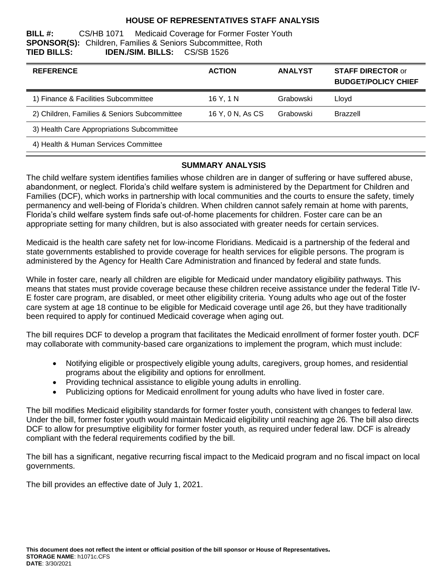### **HOUSE OF REPRESENTATIVES STAFF ANALYSIS**

**BILL #:** CS/HB 1071 Medicaid Coverage for Former Foster Youth **SPONSOR(S):** Children, Families & Seniors Subcommittee, Roth **TIED BILLS: IDEN./SIM. BILLS:** CS/SB 1526

| <b>REFERENCE</b>                             | <b>ACTION</b>    | <b>ANALYST</b> | <b>STAFF DIRECTOR or</b><br><b>BUDGET/POLICY CHIEF</b> |
|----------------------------------------------|------------------|----------------|--------------------------------------------------------|
| 1) Finance & Facilities Subcommittee         | 16 Y. 1 N        | Grabowski      | Lloyd                                                  |
| 2) Children, Families & Seniors Subcommittee | 16 Y, 0 N, As CS | Grabowski      | <b>Brazzell</b>                                        |
| 3) Health Care Appropriations Subcommittee   |                  |                |                                                        |
| 4) Health & Human Services Committee         |                  |                |                                                        |

### **SUMMARY ANALYSIS**

The child welfare system identifies families whose children are in danger of suffering or have suffered abuse, abandonment, or neglect. Florida's child welfare system is administered by the Department for Children and Families (DCF), which works in partnership with local communities and the courts to ensure the safety, timely permanency and well-being of Florida's children. When children cannot safely remain at home with parents, Florida's child welfare system finds safe out-of-home placements for children. Foster care can be an appropriate setting for many children, but is also associated with greater needs for certain services.

Medicaid is the health care safety net for low-income Floridians. Medicaid is a partnership of the federal and state governments established to provide coverage for health services for eligible persons. The program is administered by the Agency for Health Care Administration and financed by federal and state funds.

While in foster care, nearly all children are eligible for Medicaid under mandatory eligibility pathways. This means that states must provide coverage because these children receive assistance under the federal Title IV-E foster care program, are disabled, or meet other eligibility criteria. Young adults who age out of the foster care system at age 18 continue to be eligible for Medicaid coverage until age 26, but they have traditionally been required to apply for continued Medicaid coverage when aging out.

The bill requires DCF to develop a program that facilitates the Medicaid enrollment of former foster youth. DCF may collaborate with community-based care organizations to implement the program, which must include:

- Notifying eligible or prospectively eligible young adults, caregivers, group homes, and residential programs about the eligibility and options for enrollment.
- Providing technical assistance to eligible young adults in enrolling.
- Publicizing options for Medicaid enrollment for young adults who have lived in foster care.

The bill modifies Medicaid eligibility standards for former foster youth, consistent with changes to federal law. Under the bill, former foster youth would maintain Medicaid eligibility until reaching age 26. The bill also directs DCF to allow for presumptive eligibility for former foster youth, as required under federal law. DCF is already compliant with the federal requirements codified by the bill.

The bill has a significant, negative recurring fiscal impact to the Medicaid program and no fiscal impact on local governments.

The bill provides an effective date of July 1, 2021.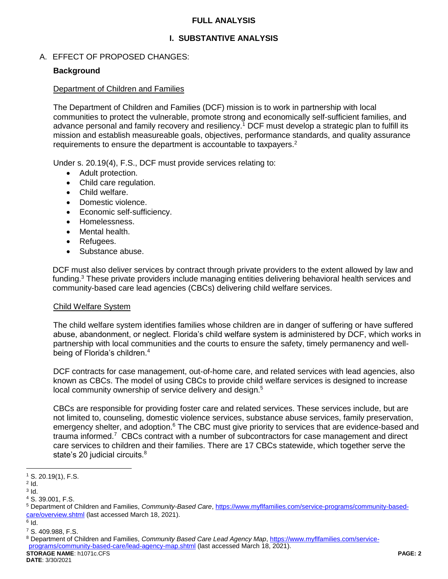#### **FULL ANALYSIS**

# **I. SUBSTANTIVE ANALYSIS**

### A. EFFECT OF PROPOSED CHANGES:

#### **Background**

#### Department of Children and Families

The Department of Children and Families (DCF) mission is to work in partnership with local communities to protect the vulnerable, promote strong and economically self-sufficient families, and advance personal and family recovery and resiliency.<sup>1</sup> DCF must develop a strategic plan to fulfill its mission and establish measureable goals, objectives, performance standards, and quality assurance requirements to ensure the department is accountable to taxpayers.<sup>2</sup>

Under s. 20.19(4), F.S., DCF must provide services relating to:

- Adult protection.
- Child care regulation.
- Child welfare.
- Domestic violence.
- Economic self-sufficiency.
- Homelessness.
- Mental health.
- Refugees.
- Substance abuse.

DCF must also deliver services by contract through private providers to the extent allowed by law and funding.<sup>3</sup> These private providers include managing entities delivering behavioral health services and community-based care lead agencies (CBCs) delivering child welfare services.

#### Child Welfare System

The child welfare system identifies families whose children are in danger of suffering or have suffered abuse, abandonment, or neglect. Florida's child welfare system is administered by DCF, which works in partnership with local communities and the courts to ensure the safety, timely permanency and wellbeing of Florida's children.<sup>4</sup>

DCF contracts for case management, out-of-home care, and related services with lead agencies, also known as CBCs. The model of using CBCs to provide child welfare services is designed to increase local community ownership of service delivery and design.<sup>5</sup>

CBCs are responsible for providing foster care and related services. These services include, but are not limited to, counseling, domestic violence services, substance abuse services, family preservation, emergency shelter, and adoption.<sup>6</sup> The CBC must give priority to services that are evidence-based and trauma informed.<sup>7</sup> CBCs contract with a number of subcontractors for case management and direct care services to children and their families. There are 17 CBCs statewide, which together serve the state's 20 judicial circuits.<sup>8</sup>

<sup>1</sup> S. 20.19(1), F.S.

 $2$  Id.

 $3$  ld.

<sup>4</sup> S. 39.001, F.S.

<sup>5</sup> Department of Children and Families, *Community-Based Care*, [https://www.myflfamilies.com/service-programs/community-based](https://www.myflfamilies.com/service-programs/community-based-care/overview.shtml)[care/overview.shtml](https://www.myflfamilies.com/service-programs/community-based-care/overview.shtml) (last accessed March 18, 2021).

 $^6$  Id.

<sup>7</sup> S. 409.988, F.S.

**STORAGE NAME**: h1071c.CFS **PAGE: 2** <sup>8</sup> Department of Children and Families, *Community Based Care Lead Agency Map*, [https://www.myflfamilies.com/service](https://www.myflfamilies.com/service-programs/community-based-care/lead-agency-map.shtml)[programs/community-based-care/lead-agency-map.shtml](https://www.myflfamilies.com/service-programs/community-based-care/lead-agency-map.shtml) (last accessed March 18, 2021).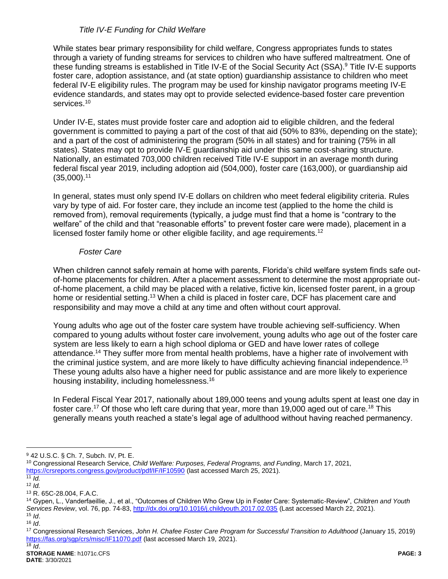### *Title IV-E Funding for Child Welfare*

While states bear primary responsibility for child welfare, Congress appropriates funds to states through a variety of funding streams for services to children who have suffered maltreatment. One of these funding streams is established in Title IV-E of the Social Security Act (SSA). <sup>9</sup> Title IV-E supports foster care, adoption assistance, and (at state option) guardianship assistance to children who meet federal IV-E eligibility rules. The program may be used for kinship navigator programs meeting IV-E evidence standards, and states may opt to provide selected evidence-based foster care prevention services.<sup>10</sup>

Under IV-E, states must provide foster care and adoption aid to eligible children, and the federal government is committed to paying a part of the cost of that aid (50% to 83%, depending on the state); and a part of the cost of administering the program (50% in all states) and for training (75% in all states). States may opt to provide IV-E guardianship aid under this same cost-sharing structure. Nationally, an estimated 703,000 children received Title IV-E support in an average month during federal fiscal year 2019, including adoption aid (504,000), foster care (163,000), or guardianship aid  $(35,000).$ <sup>11</sup>

In general, states must only spend IV-E dollars on children who meet federal eligibility criteria. Rules vary by type of aid. For foster care, they include an income test (applied to the home the child is removed from), removal requirements (typically, a judge must find that a home is "contrary to the welfare" of the child and that "reasonable efforts" to prevent foster care were made), placement in a licensed foster family home or other eligible facility, and age requirements.<sup>12</sup>

#### *Foster Care*

When children cannot safely remain at home with parents, Florida's child welfare system finds safe outof-home placements for children. After a placement assessment to determine the most appropriate outof-home placement, a child may be placed with a relative, fictive kin, licensed foster parent, in a group home or residential setting.<sup>13</sup> When a child is placed in foster care, DCF has placement care and responsibility and may move a child at any time and often without court approval.

Young adults who age out of the foster care system have trouble achieving self-sufficiency. When compared to young adults without foster care involvement, young adults who age out of the foster care system are less likely to earn a high school diploma or GED and have lower rates of college attendance.<sup>14</sup> They suffer more from mental health problems, have a higher rate of involvement with the criminal justice system, and are more likely to have difficulty achieving financial independence.<sup>15</sup> These young adults also have a higher need for public assistance and are more likely to experience housing instability, including homelessness.<sup>16</sup>

In Federal Fiscal Year 2017, nationally about 189,000 teens and young adults spent at least one day in foster care.<sup>17</sup> Of those who left care during that year, more than 19,000 aged out of care.<sup>18</sup> This generally means youth reached a state's legal age of adulthood without having reached permanency.

<sup>9</sup> 42 U.S.C. § Ch. 7, Subch. IV, Pt. E.

<sup>10</sup> Congressional Research Service, *Child Welfare: Purposes, Federal Programs, and Funding*, March 17, 2021, <https://crsreports.congress.gov/product/pdf/IF/IF10590> (last accessed March 25, 2021).

 $11$   $\overline{Id}$ .

<sup>12</sup> *Id.*

<sup>13</sup> R. 65C-28.004, F.A.C.

<sup>14</sup> Gypen, L., Vanderfaeillie, J., et al., "Outcomes of Children Who Grew Up in Foster Care: Systematic-Review", *Children and Youth*  Services Review, vol. 76, pp. 74-83,<http://dx.doi.org/10.1016/j.childyouth.2017.02.035> (Last accessed March 22, 2021). <sup>15</sup> *Id*.

<sup>16</sup> *Id*.

<sup>17</sup> Congressional Research Services, *John H. Chafee Foster Care Program for Successful Transition to Adulthood* (January 15, 2019) <https://fas.org/sgp/crs/misc/IF11070.pdf> (last accessed March 19, 2021).  $\overline{18}$  *Id.*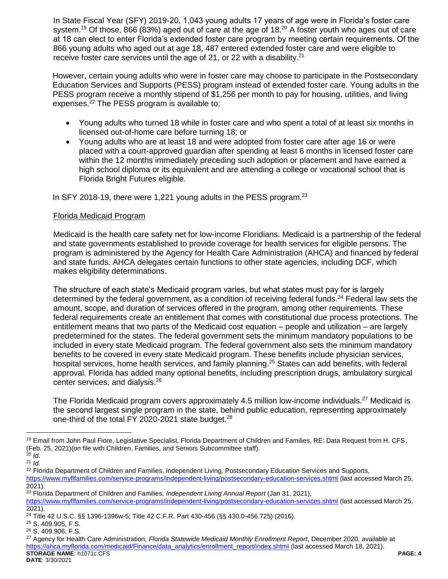In State Fiscal Year (SFY) 2019-20, 1,043 young adults 17 years of age were in Florida's foster care system.<sup>19</sup> Of those, 866 (83%) aged out of care at the age of 18.<sup>20</sup> A foster youth who ages out of care at 18 can elect to enter Florida's extended foster care program by meeting certain requirements. Of the 866 young adults who aged out at age 18, 487 entered extended foster care and were eligible to receive foster care services until the age of 21, or 22 with a disability.<sup>21</sup>

However, certain young adults who were in foster care may choose to participate in the Postsecondary Education Services and Supports (PESS) program instead of extended foster care. Young adults in the PESS program receive a monthly stipend of \$1,256 per month to pay for housing, utilities, and living expenses.<sup>22</sup> The PESS program is available to:

- Young adults who turned 18 while in foster care and who spent a total of at least six months in licensed out-of-home care before turning 18; or
- Young adults who are at least 18 and were adopted from foster care after age 16 or were placed with a court-approved guardian after spending at least 6 months in licensed foster care within the 12 months immediately preceding such adoption or placement and have earned a high school diploma or its equivalent and are attending a college or vocational school that is Florida Bright Futures eligible.

In SFY 2018-19, there were 1,221 young adults in the PESS program.<sup>23</sup>

### Florida Medicaid Program

Medicaid is the health care safety net for low-income Floridians. Medicaid is a partnership of the federal and state governments established to provide coverage for health services for eligible persons. The program is administered by the Agency for Health Care Administration (AHCA) and financed by federal and state funds. AHCA delegates certain functions to other state agencies, including DCF, which makes eligibility determinations.

The structure of each state's Medicaid program varies, but what states must pay for is largely determined by the federal government, as a condition of receiving federal funds.<sup>24</sup> Federal law sets the amount, scope, and duration of services offered in the program, among other requirements. These federal requirements create an entitlement that comes with constitutional due process protections. The entitlement means that two parts of the Medicaid cost equation – people and utilization – are largely predetermined for the states. The federal government sets the minimum mandatory populations to be included in every state Medicaid program. The federal government also sets the minimum mandatory benefits to be covered in every state Medicaid program. These benefits include physician services, hospital services, home health services, and family planning.<sup>25</sup> States can add benefits, with federal approval. Florida has added many optional benefits, including prescription drugs, ambulatory surgical center services, and dialysis.<sup>26</sup>

The Florida Medicaid program covers approximately 4.5 million low-income individuals.<sup>27</sup> Medicaid is the second largest single program in the state, behind public education, representing approximately one-third of the total FY 2020-2021 state budget.<sup>28</sup>

<sup>&</sup>lt;sup>19</sup> Email from John Paul Fiore, Legislative Specialist, Florida Department of Children and Families, RE: Data Request from H. CFS, (Feb. 25, 2021)(on file with Children, Families, and Seniors Subcommittee staff). <sup>20</sup> *Id*.

<sup>21</sup> *Id*.

<sup>&</sup>lt;sup>22</sup> Florida Department of Children and Families, Independent Living, Postsecondary Education Services and Supports, <https://www.myflfamilies.com/service-programs/independent-living/postsecondary-education-services.shtml> (last accessed March 25, 2021).

<sup>23</sup> Florida Department of Children and Families, *Independent Living Annual Report* (Jan 31, 2021), <https://www.myflfamilies.com/service-programs/independent-living/postsecondary-education-services.shtml> (last accessed March 25, 2021).

<sup>24</sup> Title 42 U.S.C. §§ 1396-1396w-5; Title 42 C.F.R. Part 430-456 (§§ 430.0-456.725) (2016).

<sup>25</sup> S. 409.905, F.S.

<sup>26</sup> S. 409.906, F.S.

**STORAGE NAME**: h1071c.CFS **PAGE: 4 DATE**: 3/30/2021 <sup>27</sup> Agency for Health Care Administration, *Florida Statewide Medicaid Monthly Enrollment Report*, December 2020, available at [https://ahca.myflorida.com/medicaid/Finance/data\\_analytics/enrollment\\_report/index.shtml](https://ahca.myflorida.com/medicaid/Finance/data_analytics/enrollment_report/index.shtml) (last accessed March 18, 2021).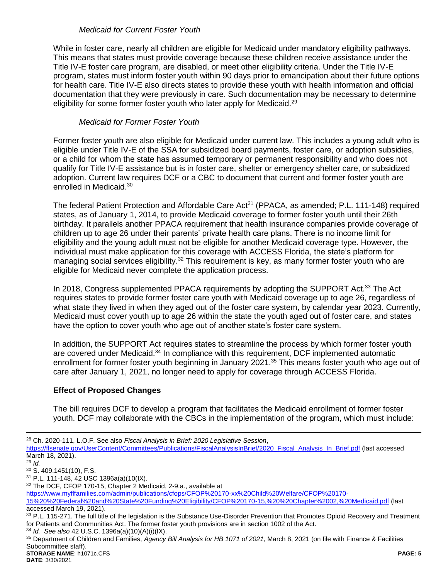#### *Medicaid for Current Foster Youth*

While in foster care, nearly all children are eligible for Medicaid under mandatory eligibility pathways. This means that states must provide coverage because these children receive assistance under the Title IV-E foster care program, are disabled, or meet other eligibility criteria. Under the Title IV-E program, states must inform foster youth within 90 days prior to emancipation about their future options for health care. Title IV-E also directs states to provide these youth with health information and official documentation that they were previously in care. Such documentation may be necessary to determine eligibility for some former foster youth who later apply for Medicaid.<sup>29</sup>

### *Medicaid for Former Foster Youth*

Former foster youth are also eligible for Medicaid under current law. This includes a young adult who is eligible under Title IV-E of the SSA for subsidized board payments, foster care, or adoption subsidies, or a child for whom the state has assumed temporary or permanent responsibility and who does not qualify for Title IV-E assistance but is in foster care, shelter or emergency shelter care, or subsidized adoption. Current law requires DCF or a CBC to document that current and former foster youth are enrolled in Medicaid.<sup>30</sup>

The federal Patient Protection and Affordable Care Act<sup>31</sup> (PPACA, as amended; P.L. 111-148) required states, as of January 1, 2014, to provide Medicaid coverage to former foster youth until their 26th birthday. It parallels another PPACA requirement that health insurance companies provide coverage of children up to age 26 under their parents' private health care plans. There is no income limit for eligibility and the young adult must not be eligible for another Medicaid coverage type. However, the individual must make application for this coverage with ACCESS Florida, the state's platform for managing social services eligibility.<sup>32</sup> This requirement is key, as many former foster youth who are eligible for Medicaid never complete the application process.

In 2018, Congress supplemented PPACA requirements by adopting the SUPPORT Act.<sup>33</sup> The Act requires states to provide former foster care youth with Medicaid coverage up to age 26, regardless of what state they lived in when they aged out of the foster care system, by calendar year 2023. Currently, Medicaid must cover youth up to age 26 within the state the youth aged out of foster care, and states have the option to cover youth who age out of another state's foster care system.

In addition, the SUPPORT Act requires states to streamline the process by which former foster youth are covered under Medicaid.<sup>34</sup> In compliance with this requirement, DCF implemented automatic enrollment for former foster youth beginning in January 2021.<sup>35</sup> This means foster youth who age out of care after January 1, 2021, no longer need to apply for coverage through ACCESS Florida.

# **Effect of Proposed Changes**

The bill requires DCF to develop a program that facilitates the Medicaid enrollment of former foster youth. DCF may collaborate with the CBCs in the implementation of the program, which must include:

<sup>28</sup> Ch. 2020-111, L.O.F. See also *Fiscal Analysis in Brief: 2020 Legislative Session*,

[https://flsenate.gov/UserContent/Committees/Publications/FiscalAnalysisInBrief/2020\\_Fiscal\\_Analysis\\_In\\_Brief.pdf](https://flsenate.gov/UserContent/Committees/Publications/FiscalAnalysisInBrief/2020_Fiscal_Analysis_In_Brief.pdf) (last accessed March 18, 2021).

<sup>29</sup> *Id.*

<sup>30</sup> S. 409.1451(10), F.S.

<sup>31</sup> P.L. 111-148, 42 USC 1396a(a)(10(IX).

<sup>32</sup> The DCF, CFOP 170-15, Chapter 2 Medicaid, 2-9.a., available at

[https://www.myflfamilies.com/admin/publications/cfops/CFOP%20170-xx%20Child%20Welfare/CFOP%20170-](https://www.myflfamilies.com/admin/publications/cfops/CFOP%20170-xx%20Child%20Welfare/CFOP%20170-15%20%20Federal%20and%20State%20Funding%20Eligibility/CFOP%20170-15,%20%20Chapter%2002,%20Medicaid.pdf)

[<sup>15%20%20</sup>Federal%20and%20State%20Funding%20Eligibility/CFOP%20170-15,%20%20Chapter%2002,%20Medicaid.pdf](https://www.myflfamilies.com/admin/publications/cfops/CFOP%20170-xx%20Child%20Welfare/CFOP%20170-15%20%20Federal%20and%20State%20Funding%20Eligibility/CFOP%20170-15,%20%20Chapter%2002,%20Medicaid.pdf) (last accessed March 19, 2021).

<sup>33</sup> P.L. 115-271. The full title of the legislation is the Substance Use-Disorder Prevention that Promotes Opioid Recovery and Treatment for Patients and Communities Act. The former foster youth provisions are in section 1002 of the Act.

<sup>34</sup> *Id. See also* 42 U.S.C. 1396a(a)(10)(A)(i)(IX).

**STORAGE NAME**: h1071c.CFS **PAGE: 5** <sup>35</sup> Department of Children and Families, *Agency Bill Analysis for HB 1071 of 2021*, March 8, 2021 (on file with Finance & Facilities Subcommittee staff).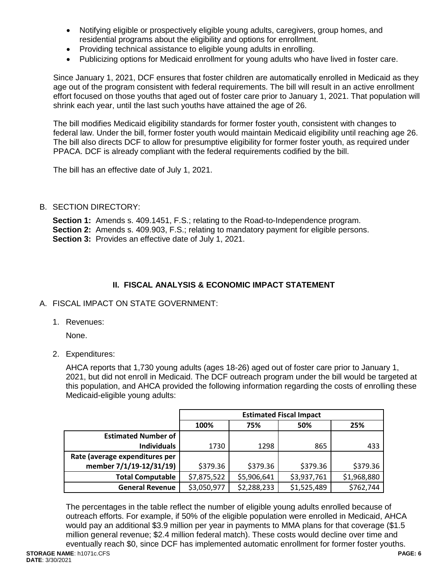- Notifying eligible or prospectively eligible young adults, caregivers, group homes, and residential programs about the eligibility and options for enrollment.
- Providing technical assistance to eligible young adults in enrolling.
- Publicizing options for Medicaid enrollment for young adults who have lived in foster care.

Since January 1, 2021, DCF ensures that foster children are automatically enrolled in Medicaid as they age out of the program consistent with federal requirements. The bill will result in an active enrollment effort focused on those youths that aged out of foster care prior to January 1, 2021. That population will shrink each year, until the last such youths have attained the age of 26.

The bill modifies Medicaid eligibility standards for former foster youth, consistent with changes to federal law. Under the bill, former foster youth would maintain Medicaid eligibility until reaching age 26. The bill also directs DCF to allow for presumptive eligibility for former foster youth, as required under PPACA. DCF is already compliant with the federal requirements codified by the bill.

The bill has an effective date of July 1, 2021.

### B. SECTION DIRECTORY:

**Section 1:** Amends s. 409.1451, F.S.; relating to the Road-to-Independence program. **Section 2:** Amends s. 409.903, F.S.; relating to mandatory payment for eligible persons. **Section 3:** Provides an effective date of July 1, 2021.

# **II. FISCAL ANALYSIS & ECONOMIC IMPACT STATEMENT**

### A. FISCAL IMPACT ON STATE GOVERNMENT:

1. Revenues:

None.

2. Expenditures:

AHCA reports that 1,730 young adults (ages 18-26) aged out of foster care prior to January 1, 2021, but did not enroll in Medicaid. The DCF outreach program under the bill would be targeted at this population, and AHCA provided the following information regarding the costs of enrolling these Medicaid-eligible young adults:

|                                | <b>Estimated Fiscal Impact</b> |             |             |             |  |  |
|--------------------------------|--------------------------------|-------------|-------------|-------------|--|--|
|                                | 100%                           | 75%         | 50%         | 25%         |  |  |
| <b>Estimated Number of</b>     |                                |             |             |             |  |  |
| <b>Individuals</b>             | 1730                           | 1298        | 865         | 433         |  |  |
| Rate (average expenditures per |                                |             |             |             |  |  |
| member 7/1/19-12/31/19)        | \$379.36                       | \$379.36    | \$379.36    | \$379.36    |  |  |
| <b>Total Computable</b>        | \$7,875,522                    | \$5,906,641 | \$3,937,761 | \$1,968,880 |  |  |
| <b>General Revenue</b>         | \$3,050,977                    | \$2,288,233 | \$1,525,489 | \$762,744   |  |  |

The percentages in the table reflect the number of eligible young adults enrolled because of outreach efforts. For example, if 50% of the eligible population were enrolled in Medicaid, AHCA would pay an additional \$3.9 million per year in payments to MMA plans for that coverage (\$1.5 million general revenue; \$2.4 million federal match). These costs would decline over time and eventually reach \$0, since DCF has implemented automatic enrollment for former foster youths.